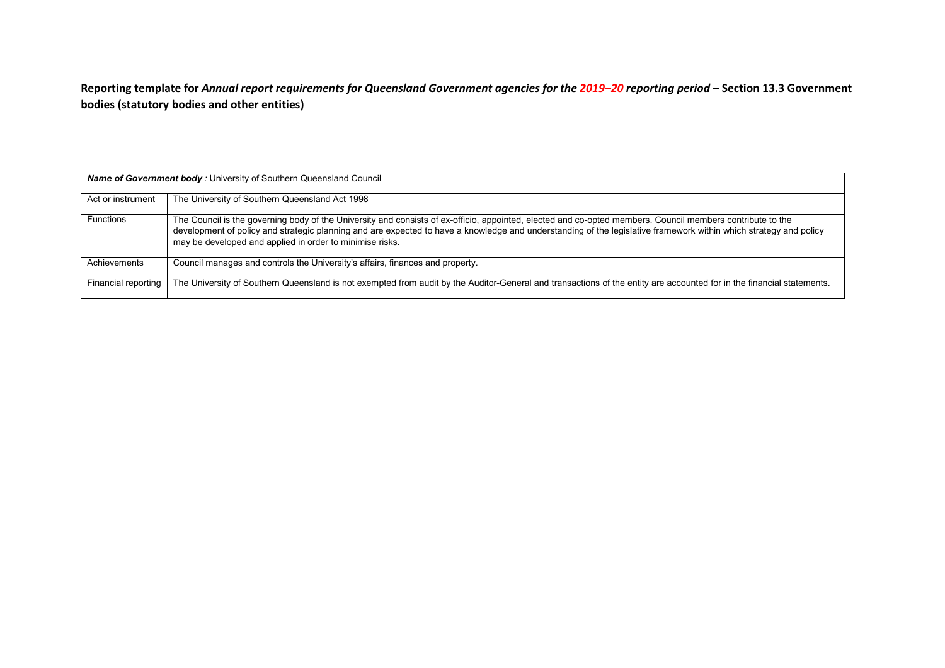**Reporting template for** *Annual report requirements for Queensland Government agencies for the 2019–20 reporting period –* **Section 13.3 Government bodies (statutory bodies and other entities)**

| <b>Name of Government body:</b> University of Southern Queensland Council |                                                                                                                                                                                                                                                                                                                                                                                             |  |  |
|---------------------------------------------------------------------------|---------------------------------------------------------------------------------------------------------------------------------------------------------------------------------------------------------------------------------------------------------------------------------------------------------------------------------------------------------------------------------------------|--|--|
| Act or instrument                                                         | The University of Southern Queensland Act 1998                                                                                                                                                                                                                                                                                                                                              |  |  |
| <b>Functions</b>                                                          | The Council is the governing body of the University and consists of ex-officio, appointed, elected and co-opted members. Council members contribute to the<br>development of policy and strategic planning and are expected to have a knowledge and understanding of the legislative framework within which strategy and policy<br>may be developed and applied in order to minimise risks. |  |  |
| Achievements                                                              | Council manages and controls the University's affairs, finances and property.                                                                                                                                                                                                                                                                                                               |  |  |
| Financial reporting                                                       | The University of Southern Queensland is not exempted from audit by the Auditor-General and transactions of the entity are accounted for in the financial statements.                                                                                                                                                                                                                       |  |  |